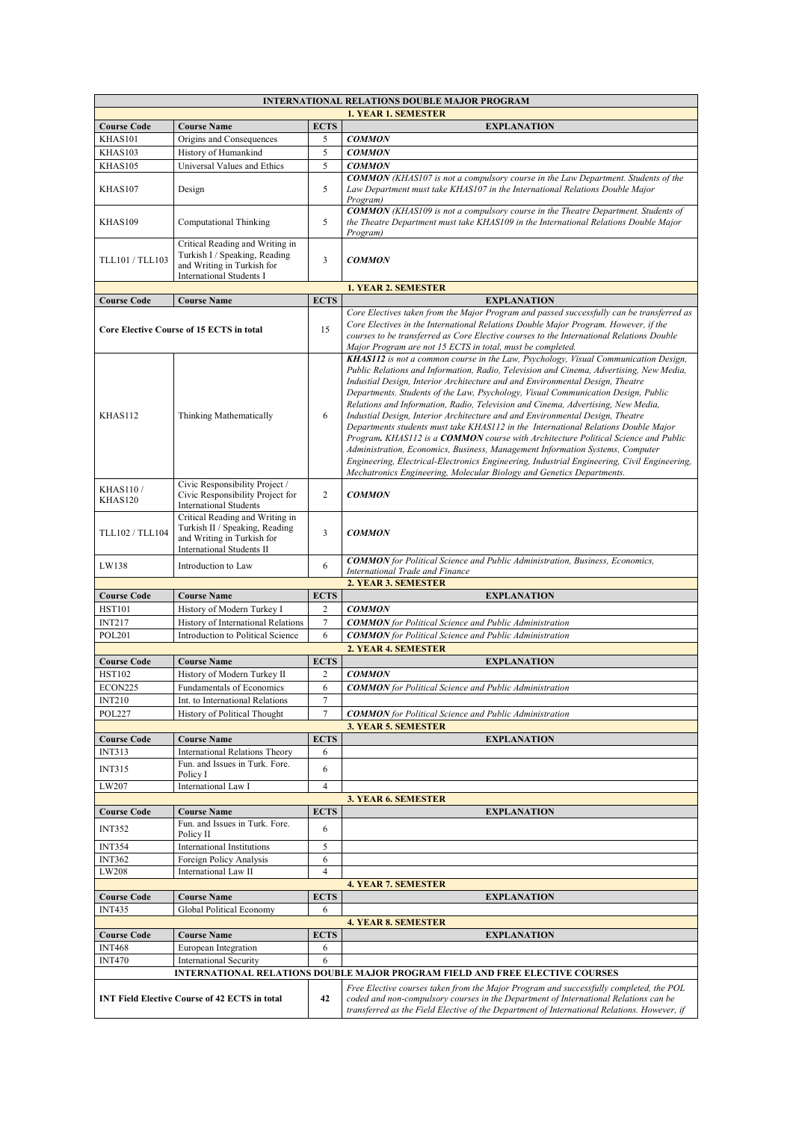| <b>INTERNATIONAL RELATIONS DOUBLE MAJOR PROGRAM</b>                                                                      |                                                                                                                                     |                  |                                                                                                                                                                                                                                                                                                                                                                                                                                                                                                                                                                                                                                                                                                                                                                                                                                                                                                                                                                |  |  |
|--------------------------------------------------------------------------------------------------------------------------|-------------------------------------------------------------------------------------------------------------------------------------|------------------|----------------------------------------------------------------------------------------------------------------------------------------------------------------------------------------------------------------------------------------------------------------------------------------------------------------------------------------------------------------------------------------------------------------------------------------------------------------------------------------------------------------------------------------------------------------------------------------------------------------------------------------------------------------------------------------------------------------------------------------------------------------------------------------------------------------------------------------------------------------------------------------------------------------------------------------------------------------|--|--|
| <b>1. YEAR 1. SEMESTER</b>                                                                                               |                                                                                                                                     |                  |                                                                                                                                                                                                                                                                                                                                                                                                                                                                                                                                                                                                                                                                                                                                                                                                                                                                                                                                                                |  |  |
| <b>Course Code</b>                                                                                                       | <b>Course Name</b>                                                                                                                  | <b>ECTS</b>      | <b>EXPLANATION</b>                                                                                                                                                                                                                                                                                                                                                                                                                                                                                                                                                                                                                                                                                                                                                                                                                                                                                                                                             |  |  |
| KHAS101                                                                                                                  | Origins and Consequences                                                                                                            | 5                | <b>COMMON</b>                                                                                                                                                                                                                                                                                                                                                                                                                                                                                                                                                                                                                                                                                                                                                                                                                                                                                                                                                  |  |  |
| KHAS103<br>KHAS105                                                                                                       | History of Humankind<br>Universal Values and Ethics                                                                                 | 5<br>5           | <b>COMMON</b>                                                                                                                                                                                                                                                                                                                                                                                                                                                                                                                                                                                                                                                                                                                                                                                                                                                                                                                                                  |  |  |
| KHAS107                                                                                                                  | Design                                                                                                                              | 5                | <b>COMMON</b><br><b>COMMON</b> (KHAS107 is not a compulsory course in the Law Department. Students of the<br>Law Department must take KHAS107 in the International Relations Double Major<br>Program)                                                                                                                                                                                                                                                                                                                                                                                                                                                                                                                                                                                                                                                                                                                                                          |  |  |
| KHAS109                                                                                                                  | Computational Thinking                                                                                                              | 5                | <b>COMMON</b> (KHAS109 is not a compulsory course in the Theatre Department. Students of<br>the Theatre Department must take KHAS109 in the International Relations Double Major<br>Program)                                                                                                                                                                                                                                                                                                                                                                                                                                                                                                                                                                                                                                                                                                                                                                   |  |  |
| TLL101 / TLL103                                                                                                          | Critical Reading and Writing in<br>Turkish I / Speaking, Reading<br>and Writing in Turkish for<br><b>International Students I</b>   | 3                | <b>COMMON</b>                                                                                                                                                                                                                                                                                                                                                                                                                                                                                                                                                                                                                                                                                                                                                                                                                                                                                                                                                  |  |  |
|                                                                                                                          |                                                                                                                                     |                  | <b>1. YEAR 2. SEMESTER</b>                                                                                                                                                                                                                                                                                                                                                                                                                                                                                                                                                                                                                                                                                                                                                                                                                                                                                                                                     |  |  |
| <b>Course Code</b>                                                                                                       | <b>Course Name</b>                                                                                                                  | <b>ECTS</b>      | <b>EXPLANATION</b>                                                                                                                                                                                                                                                                                                                                                                                                                                                                                                                                                                                                                                                                                                                                                                                                                                                                                                                                             |  |  |
| Core Elective Course of 15 ECTS in total                                                                                 |                                                                                                                                     | 15               | Core Electives taken from the Major Program and passed successfully can be transferred as<br>Core Electives in the International Relations Double Major Program. However, if the<br>courses to be transferred as Core Elective courses to the International Relations Double<br>Major Program are not 15 ECTS in total, must be completed.                                                                                                                                                                                                                                                                                                                                                                                                                                                                                                                                                                                                                     |  |  |
| <b>KHAS112</b>                                                                                                           | Thinking Mathematically                                                                                                             | 6                | KHAS112 is not a common course in the Law, Psychology, Visual Communication Design,<br>Public Relations and Information, Radio, Television and Cinema, Advertising, New Media,<br>Industial Design, Interior Architecture and and Environmental Design, Theatre<br>Departments. Students of the Law, Psychology, Visual Communication Design, Public<br>Relations and Information, Radio, Television and Cinema, Advertising, New Media,<br>Industial Design, Interior Architecture and and Environmental Design, Theatre<br>Departments students must take KHAS112 in the International Relations Double Major<br>Program, KHAS112 is a COMMON course with Architecture Political Science and Public<br>Administration, Economics, Business, Management Information Systems, Computer<br>Engineering, Electrical-Electronics Engineering, Industrial Engineering, Civil Engineering,<br>Mechatronics Engineering, Molecular Biology and Genetics Departments. |  |  |
| <b>KHAS110/</b><br>KHAS120                                                                                               | Civic Responsibility Project /<br>Civic Responsibility Project for<br><b>International Students</b>                                 | 2                | <b>COMMON</b>                                                                                                                                                                                                                                                                                                                                                                                                                                                                                                                                                                                                                                                                                                                                                                                                                                                                                                                                                  |  |  |
| <b>TLL102 / TLL104</b>                                                                                                   | Critical Reading and Writing in<br>Turkish II / Speaking, Reading<br>and Writing in Turkish for<br><b>International Students II</b> | 3                | <b>COMMON</b>                                                                                                                                                                                                                                                                                                                                                                                                                                                                                                                                                                                                                                                                                                                                                                                                                                                                                                                                                  |  |  |
| LW138                                                                                                                    | Introduction to Law                                                                                                                 | 6                | <b>COMMON</b> for Political Science and Public Administration, Business, Economics,<br>International Trade and Finance                                                                                                                                                                                                                                                                                                                                                                                                                                                                                                                                                                                                                                                                                                                                                                                                                                         |  |  |
| <b>Course Code</b>                                                                                                       | <b>Course Name</b>                                                                                                                  | <b>ECTS</b>      | 2. YEAR 3. SEMESTER<br><b>EXPLANATION</b>                                                                                                                                                                                                                                                                                                                                                                                                                                                                                                                                                                                                                                                                                                                                                                                                                                                                                                                      |  |  |
| <b>HST101</b>                                                                                                            | History of Modern Turkey I                                                                                                          | $\overline{c}$   | <b>COMMON</b>                                                                                                                                                                                                                                                                                                                                                                                                                                                                                                                                                                                                                                                                                                                                                                                                                                                                                                                                                  |  |  |
| <b>INT217</b>                                                                                                            | History of International Relations                                                                                                  | $\tau$           | <b>COMMON</b> for Political Science and Public Administration                                                                                                                                                                                                                                                                                                                                                                                                                                                                                                                                                                                                                                                                                                                                                                                                                                                                                                  |  |  |
| <b>POL201</b>                                                                                                            | Introduction to Political Science                                                                                                   | 6                | <b>COMMON</b> for Political Science and Public Administration                                                                                                                                                                                                                                                                                                                                                                                                                                                                                                                                                                                                                                                                                                                                                                                                                                                                                                  |  |  |
| 2. YEAR 4. SEMESTER                                                                                                      |                                                                                                                                     |                  |                                                                                                                                                                                                                                                                                                                                                                                                                                                                                                                                                                                                                                                                                                                                                                                                                                                                                                                                                                |  |  |
| <b>Course Code</b>                                                                                                       | <b>Course Name</b>                                                                                                                  | <b>ECTS</b>      | <b>EXPLANATION</b>                                                                                                                                                                                                                                                                                                                                                                                                                                                                                                                                                                                                                                                                                                                                                                                                                                                                                                                                             |  |  |
| <b>HST102</b>                                                                                                            | History of Modern Turkey II                                                                                                         | $\overline{c}$   | <b>COMMON</b>                                                                                                                                                                                                                                                                                                                                                                                                                                                                                                                                                                                                                                                                                                                                                                                                                                                                                                                                                  |  |  |
| ECON225                                                                                                                  | Fundamentals of Economics                                                                                                           | 6                | <b>COMMON</b> for Political Science and Public Administration                                                                                                                                                                                                                                                                                                                                                                                                                                                                                                                                                                                                                                                                                                                                                                                                                                                                                                  |  |  |
| <b>INT210</b>                                                                                                            | Int. to International Relations                                                                                                     | 7                |                                                                                                                                                                                                                                                                                                                                                                                                                                                                                                                                                                                                                                                                                                                                                                                                                                                                                                                                                                |  |  |
| $\tau$<br><b>POL227</b><br>History of Political Thought<br><b>COMMON</b> for Political Science and Public Administration |                                                                                                                                     |                  |                                                                                                                                                                                                                                                                                                                                                                                                                                                                                                                                                                                                                                                                                                                                                                                                                                                                                                                                                                |  |  |
|                                                                                                                          | <b>Course Name</b>                                                                                                                  | <b>ECTS</b>      | 3. YEAR 5. SEMESTER                                                                                                                                                                                                                                                                                                                                                                                                                                                                                                                                                                                                                                                                                                                                                                                                                                                                                                                                            |  |  |
| <b>Course Code</b><br><b>INT313</b>                                                                                      | <b>International Relations Theory</b>                                                                                               | 6                | <b>EXPLANATION</b>                                                                                                                                                                                                                                                                                                                                                                                                                                                                                                                                                                                                                                                                                                                                                                                                                                                                                                                                             |  |  |
| <b>INT315</b>                                                                                                            | Fun. and Issues in Turk. Fore.                                                                                                      |                  |                                                                                                                                                                                                                                                                                                                                                                                                                                                                                                                                                                                                                                                                                                                                                                                                                                                                                                                                                                |  |  |
|                                                                                                                          | Policy I                                                                                                                            | 6                |                                                                                                                                                                                                                                                                                                                                                                                                                                                                                                                                                                                                                                                                                                                                                                                                                                                                                                                                                                |  |  |
| LW207<br>International Law I<br>$\overline{4}$                                                                           |                                                                                                                                     |                  |                                                                                                                                                                                                                                                                                                                                                                                                                                                                                                                                                                                                                                                                                                                                                                                                                                                                                                                                                                |  |  |
|                                                                                                                          |                                                                                                                                     |                  | 3. YEAR 6. SEMESTER                                                                                                                                                                                                                                                                                                                                                                                                                                                                                                                                                                                                                                                                                                                                                                                                                                                                                                                                            |  |  |
| <b>Course Code</b>                                                                                                       | <b>Course Name</b><br>Fun. and Issues in Turk. Fore.                                                                                | <b>ECTS</b>      | <b>EXPLANATION</b>                                                                                                                                                                                                                                                                                                                                                                                                                                                                                                                                                                                                                                                                                                                                                                                                                                                                                                                                             |  |  |
| <b>INT352</b>                                                                                                            | Policy II                                                                                                                           | 6                |                                                                                                                                                                                                                                                                                                                                                                                                                                                                                                                                                                                                                                                                                                                                                                                                                                                                                                                                                                |  |  |
| <b>INT354</b>                                                                                                            | <b>International Institutions</b>                                                                                                   | 5                |                                                                                                                                                                                                                                                                                                                                                                                                                                                                                                                                                                                                                                                                                                                                                                                                                                                                                                                                                                |  |  |
| <b>INT362</b>                                                                                                            | Foreign Policy Analysis                                                                                                             | 6                |                                                                                                                                                                                                                                                                                                                                                                                                                                                                                                                                                                                                                                                                                                                                                                                                                                                                                                                                                                |  |  |
| LW208                                                                                                                    | International Law II                                                                                                                | $\overline{4}$   |                                                                                                                                                                                                                                                                                                                                                                                                                                                                                                                                                                                                                                                                                                                                                                                                                                                                                                                                                                |  |  |
|                                                                                                                          |                                                                                                                                     |                  | <b>4. YEAR 7. SEMESTER</b>                                                                                                                                                                                                                                                                                                                                                                                                                                                                                                                                                                                                                                                                                                                                                                                                                                                                                                                                     |  |  |
| <b>Course Code</b><br><b>INT435</b>                                                                                      | <b>Course Name</b><br>Global Political Economy                                                                                      | <b>ECTS</b><br>6 | <b>EXPLANATION</b>                                                                                                                                                                                                                                                                                                                                                                                                                                                                                                                                                                                                                                                                                                                                                                                                                                                                                                                                             |  |  |
|                                                                                                                          |                                                                                                                                     |                  | <b>4. YEAR 8. SEMESTER</b>                                                                                                                                                                                                                                                                                                                                                                                                                                                                                                                                                                                                                                                                                                                                                                                                                                                                                                                                     |  |  |
| <b>Course Code</b>                                                                                                       | <b>Course Name</b>                                                                                                                  | <b>ECTS</b>      | <b>EXPLANATION</b>                                                                                                                                                                                                                                                                                                                                                                                                                                                                                                                                                                                                                                                                                                                                                                                                                                                                                                                                             |  |  |
| <b>INT468</b>                                                                                                            | European Integration                                                                                                                | 6                |                                                                                                                                                                                                                                                                                                                                                                                                                                                                                                                                                                                                                                                                                                                                                                                                                                                                                                                                                                |  |  |
| <b>INT470</b>                                                                                                            | <b>International Security</b>                                                                                                       | 6                |                                                                                                                                                                                                                                                                                                                                                                                                                                                                                                                                                                                                                                                                                                                                                                                                                                                                                                                                                                |  |  |
| <b>INTERNATIONAL RELATIONS DOUBLE MAJOR PROGRAM FIELD AND FREE ELECTIVE COURSES</b>                                      |                                                                                                                                     |                  |                                                                                                                                                                                                                                                                                                                                                                                                                                                                                                                                                                                                                                                                                                                                                                                                                                                                                                                                                                |  |  |
| <b>INT Field Elective Course of 42 ECTS in total</b>                                                                     |                                                                                                                                     | 42               | Free Elective courses taken from the Major Program and successfully completed, the POL<br>coded and non-compulsory courses in the Department of International Relations can be<br>transferred as the Field Elective of the Department of International Relations. However, if                                                                                                                                                                                                                                                                                                                                                                                                                                                                                                                                                                                                                                                                                  |  |  |